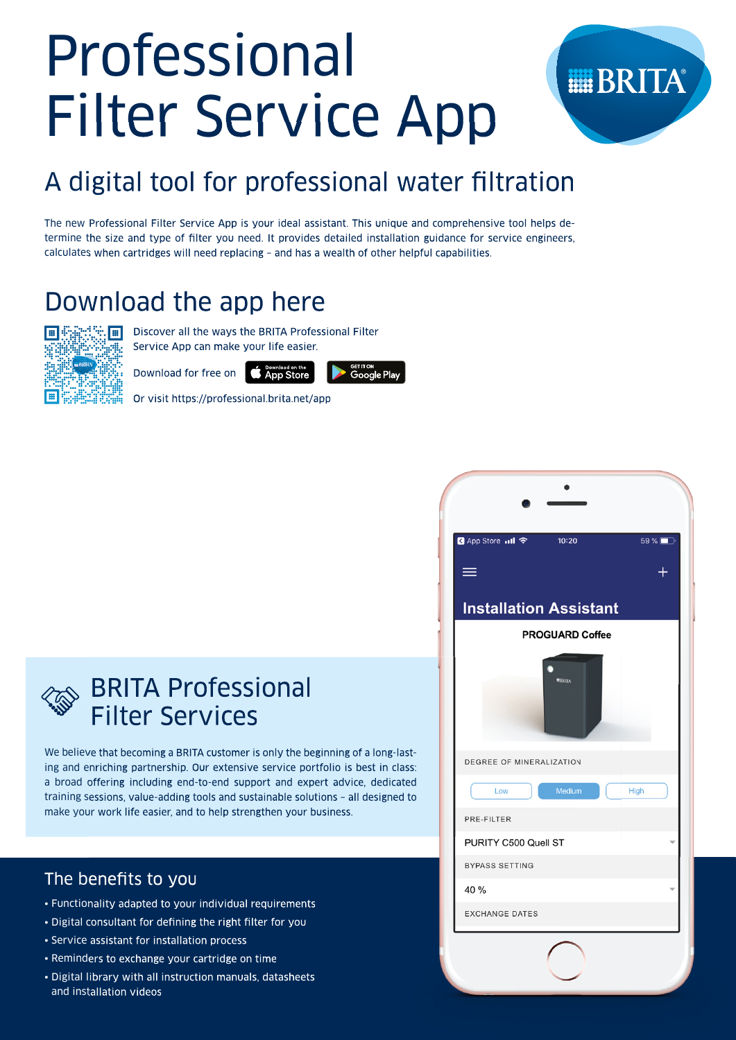# Professional Filter Service App



# A digital tool for professional water filtration

The new Professional Filter Service App is your ideal assistant. This unique and comprehensive tool helps determine the size and type of filter you need. It provides detailed installation guidance for service engineers, calculates when cartridges will need replacing – and has a wealth of other helpful capabilities.

## Download the app here



Discover all the ways the BRITA Professional Filter Service App can make your life easier.

Download for free on **CADOWNload on the** 

GET IT ON<br>**Google Play** 

Or visit https://professional.brita.net/app



### BRITA Professional Filter Services

We believe that becoming a BRITA customer is only the beginning of a long-lasting and enriching partnership. Our extensive service portfolio is best in class: a broad offering including end-to-end support and expert advice, dedicated training sessions, value-adding tools and sustainable solutions – all designed to make your work life easier, and to help strengthen your business.

### The benefits to you

- Functionality adapted to your individual requirements
- Digital consultant for defining the right filter for you
- Service assistant for installation process
- Reminders to exchange your cartridge on time
- Digital library with all instruction manuals, datasheets and installation videos